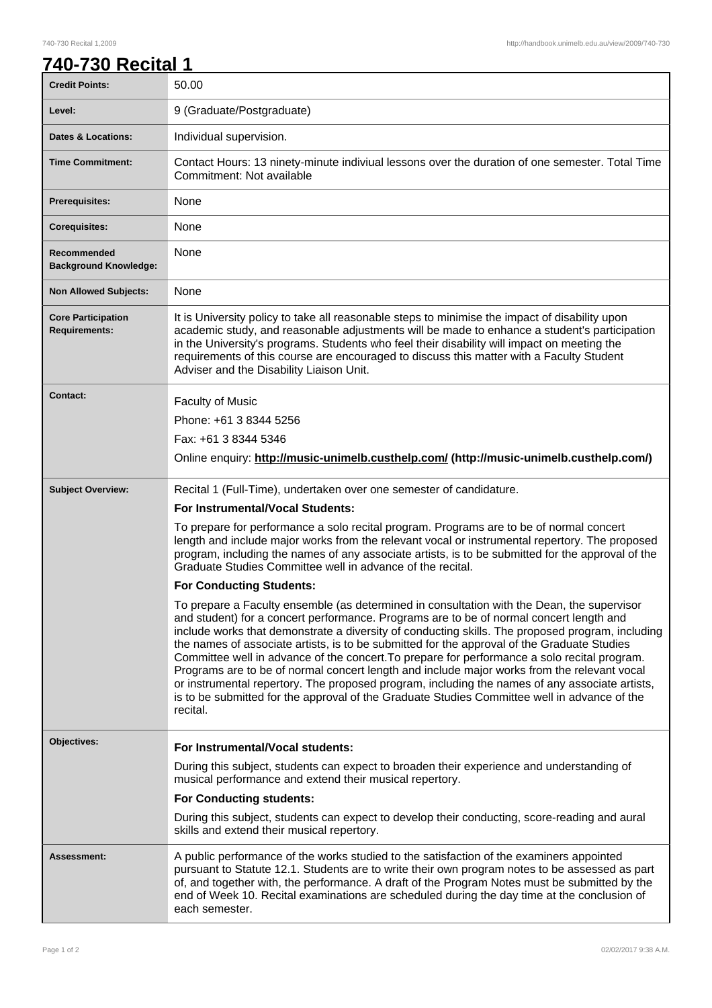## 740-730 Recital 1,2009 http://handbook.unimelb.edu.au/view/2009/740-730

| 740-730 Recital 1                                 |                                                                                                                                                                                                                                                                                                                                                                                                                                                                                                                                                                                                                                                                                                                                                                                                       |
|---------------------------------------------------|-------------------------------------------------------------------------------------------------------------------------------------------------------------------------------------------------------------------------------------------------------------------------------------------------------------------------------------------------------------------------------------------------------------------------------------------------------------------------------------------------------------------------------------------------------------------------------------------------------------------------------------------------------------------------------------------------------------------------------------------------------------------------------------------------------|
| <b>Credit Points:</b>                             | 50.00                                                                                                                                                                                                                                                                                                                                                                                                                                                                                                                                                                                                                                                                                                                                                                                                 |
| Level:                                            | 9 (Graduate/Postgraduate)                                                                                                                                                                                                                                                                                                                                                                                                                                                                                                                                                                                                                                                                                                                                                                             |
| <b>Dates &amp; Locations:</b>                     | Individual supervision.                                                                                                                                                                                                                                                                                                                                                                                                                                                                                                                                                                                                                                                                                                                                                                               |
| <b>Time Commitment:</b>                           | Contact Hours: 13 ninety-minute indiviual lessons over the duration of one semester. Total Time<br>Commitment: Not available                                                                                                                                                                                                                                                                                                                                                                                                                                                                                                                                                                                                                                                                          |
| <b>Prerequisites:</b>                             | <b>None</b>                                                                                                                                                                                                                                                                                                                                                                                                                                                                                                                                                                                                                                                                                                                                                                                           |
| <b>Corequisites:</b>                              | None                                                                                                                                                                                                                                                                                                                                                                                                                                                                                                                                                                                                                                                                                                                                                                                                  |
| Recommended<br><b>Background Knowledge:</b>       | None                                                                                                                                                                                                                                                                                                                                                                                                                                                                                                                                                                                                                                                                                                                                                                                                  |
| <b>Non Allowed Subjects:</b>                      | None                                                                                                                                                                                                                                                                                                                                                                                                                                                                                                                                                                                                                                                                                                                                                                                                  |
| <b>Core Participation</b><br><b>Requirements:</b> | It is University policy to take all reasonable steps to minimise the impact of disability upon<br>academic study, and reasonable adjustments will be made to enhance a student's participation<br>in the University's programs. Students who feel their disability will impact on meeting the<br>requirements of this course are encouraged to discuss this matter with a Faculty Student<br>Adviser and the Disability Liaison Unit.                                                                                                                                                                                                                                                                                                                                                                 |
| Contact:                                          | <b>Faculty of Music</b>                                                                                                                                                                                                                                                                                                                                                                                                                                                                                                                                                                                                                                                                                                                                                                               |
|                                                   | Phone: +61 3 8344 5256                                                                                                                                                                                                                                                                                                                                                                                                                                                                                                                                                                                                                                                                                                                                                                                |
|                                                   | Fax: +61 3 8344 5346                                                                                                                                                                                                                                                                                                                                                                                                                                                                                                                                                                                                                                                                                                                                                                                  |
|                                                   | Online enquiry: http://music-unimelb.custhelp.com/ (http://music-unimelb.custhelp.com/)                                                                                                                                                                                                                                                                                                                                                                                                                                                                                                                                                                                                                                                                                                               |
| <b>Subject Overview:</b>                          | Recital 1 (Full-Time), undertaken over one semester of candidature.                                                                                                                                                                                                                                                                                                                                                                                                                                                                                                                                                                                                                                                                                                                                   |
|                                                   | For Instrumental/Vocal Students:                                                                                                                                                                                                                                                                                                                                                                                                                                                                                                                                                                                                                                                                                                                                                                      |
|                                                   | To prepare for performance a solo recital program. Programs are to be of normal concert<br>length and include major works from the relevant vocal or instrumental repertory. The proposed<br>program, including the names of any associate artists, is to be submitted for the approval of the<br>Graduate Studies Committee well in advance of the recital.                                                                                                                                                                                                                                                                                                                                                                                                                                          |
|                                                   | <b>For Conducting Students:</b>                                                                                                                                                                                                                                                                                                                                                                                                                                                                                                                                                                                                                                                                                                                                                                       |
|                                                   | To prepare a Faculty ensemble (as determined in consultation with the Dean, the supervisor<br>and student) for a concert performance. Programs are to be of normal concert length and<br>include works that demonstrate a diversity of conducting skills. The proposed program, including<br>the names of associate artists, is to be submitted for the approval of the Graduate Studies<br>Committee well in advance of the concert. To prepare for performance a solo recital program.<br>Programs are to be of normal concert length and include major works from the relevant vocal<br>or instrumental repertory. The proposed program, including the names of any associate artists,<br>is to be submitted for the approval of the Graduate Studies Committee well in advance of the<br>recital. |
| Objectives:                                       | For Instrumental/Vocal students:                                                                                                                                                                                                                                                                                                                                                                                                                                                                                                                                                                                                                                                                                                                                                                      |
|                                                   | During this subject, students can expect to broaden their experience and understanding of<br>musical performance and extend their musical repertory.                                                                                                                                                                                                                                                                                                                                                                                                                                                                                                                                                                                                                                                  |
|                                                   | <b>For Conducting students:</b>                                                                                                                                                                                                                                                                                                                                                                                                                                                                                                                                                                                                                                                                                                                                                                       |
|                                                   | During this subject, students can expect to develop their conducting, score-reading and aural<br>skills and extend their musical repertory.                                                                                                                                                                                                                                                                                                                                                                                                                                                                                                                                                                                                                                                           |
| <b>Assessment:</b>                                | A public performance of the works studied to the satisfaction of the examiners appointed<br>pursuant to Statute 12.1. Students are to write their own program notes to be assessed as part<br>of, and together with, the performance. A draft of the Program Notes must be submitted by the<br>end of Week 10. Recital examinations are scheduled during the day time at the conclusion of<br>each semester.                                                                                                                                                                                                                                                                                                                                                                                          |